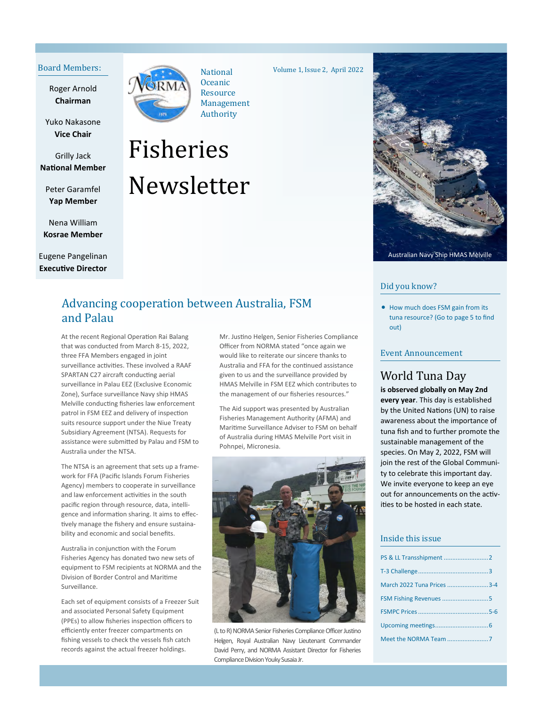Roger Arnold **Chairman**

Yuko Nakasone **Vice Chair**

Grilly Jack **National Member**

Peter Garamfel **Yap Member**

Nena William **Kosrae Member**

Eugene Pangelinan **Executive Director**



National Oceanic Resource Management Authority

# Fisheries Newsletter

### Advancing cooperation between Australia, FSM and Palau

At the recent Regional Operation Rai Balang that was conducted from March 8-15, 2022, three FFA Members engaged in joint surveillance activities. These involved a RAAF SPARTAN C27 aircraft conducting aerial surveillance in Palau EEZ (Exclusive Economic Zone), Surface surveillance Navy ship HMAS Melville conducting fisheries law enforcement patrol in FSM EEZ and delivery of inspection suits resource support under the Niue Treaty Subsidiary Agreement (NTSA). Requests for assistance were submitted by Palau and FSM to Australia under the NTSA.

The NTSA is an agreement that sets up a framework for FFA (Pacific Islands Forum Fisheries Agency) members to cooperate in surveillance and law enforcement activities in the south pacific region through resource, data, intelligence and information sharing. It aims to effectively manage the fishery and ensure sustainability and economic and social benefits.

Australia in conjunction with the Forum Fisheries Agency has donated two new sets of equipment to FSM recipients at NORMA and the Division of Border Control and Maritime Surveillance.

Each set of equipment consists of a Freezer Suit and associated Personal Safety Equipment (PPEs) to allow fisheries inspection officers to efficiently enter freezer compartments on fishing vessels to check the vessels fish catch records against the actual freezer holdings.

Mr. Justino Helgen, Senior Fisheries Compliance Officer from NORMA stated "once again we would like to reiterate our sincere thanks to Australia and FFA for the continued assistance given to us and the surveillance provided by HMAS Melville in FSM EEZ which contributes to the management of our fisheries resources."

The Aid support was presented by Australian Fisheries Management Authority (AFMA) and Maritime Surveillance Adviser to FSM on behalf of Australia during HMAS Melville Port visit in Pohnpei, Micronesia.



(L to R) NORMA Senior Fisheries Compliance Officer Justino Helgen, Royal Australian Navy Lieutenant Commander David Perry, and NORMA Assistant Director for Fisheries Compliance Division Youky Susaia Jr.



#### Did you know?

• How much does FSM gain from its tuna resource? (Go to page 5 to find out)

### Event Announcement

### World Tuna Day

**is observed globally on May 2nd every year**. This day is established by the United Nations (UN) to raise awareness about the importance of tuna fish and to further promote the sustainable management of the species. On May 2, 2022, FSM will join the rest of the Global Community to celebrate this important day. We invite everyone to keep an eye out for announcements on the activities to be hosted in each state.

#### Inside this issue

| March 2022 Tuna Prices 3-4 |  |
|----------------------------|--|
| FSM Fishing Revenues 5     |  |
|                            |  |
|                            |  |
|                            |  |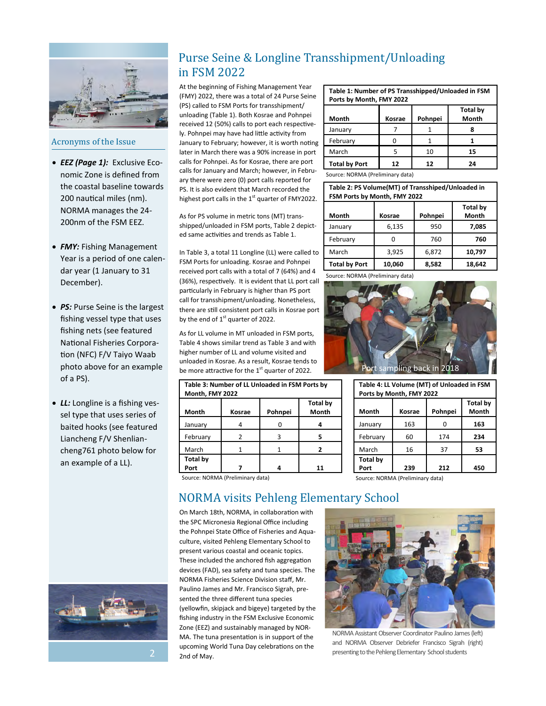

Acronyms of the Issue

- *EEZ (Page 1):* Exclusive Economic Zone is defined from the coastal baseline towards 200 nautical miles (nm). NORMA manages the 24- 200nm of the FSM EEZ.
- *FMY:* Fishing Management Year is a period of one calendar year (1 January to 31 December).
- *PS:* Purse Seine is the largest fishing vessel type that uses fishing nets (see featured National Fisheries Corporation (NFC) F/V Taiyo Waab photo above for an example of a PS).
- *LL:* Longline is a fishing vessel type that uses series of baited hooks (see featured Liancheng F/V Shenliancheng761 photo below for an example of a LL).



### Purse Seine & Longline Transshipment/Unloading in FSM 2022

At the beginning of Fishing Management Year (FMY) 2022, there was a total of 24 Purse Seine (PS) called to FSM Ports for transshipment/ unloading (Table 1). Both Kosrae and Pohnpei received 12 (50%) calls to port each respectively. Pohnpei may have had little activity from January to February; however, it is worth noting later in March there was a 90% increase in port calls for Pohnpei. As for Kosrae, there are port calls for January and March; however, in February there were zero (0) port calls reported for PS. It is also evident that March recorded the highest port calls in the  $1<sup>st</sup>$  quarter of FMY2022.

As for PS volume in metric tons (MT) transshipped/unloaded in FSM ports, Table 2 depicted same activities and trends as Table 1.

In Table 3, a total 11 Longline (LL) were called to FSM Ports for unloading. Kosrae and Pohnpei received port calls with a total of 7 (64%) and 4 (36%), respectively. It is evident that LL port call particularly in February is higher than PS port call for transshipment/unloading. Nonetheless, there are still consistent port calls in Kosrae port by the end of  $1<sup>st</sup>$  quarter of 2022.

As for LL volume in MT unloaded in FSM ports, Table 4 shows similar trend as Table 3 and with higher number of LL and volume visited and unloaded in Kosrae. As a result, Kosrae tends to be more attractive for the 1<sup>st</sup> quarter of 2022.

| Table 3: Number of LL Unloaded in FSM Ports by<br>Month, FMY 2022 |               |         |                          |
|-------------------------------------------------------------------|---------------|---------|--------------------------|
| Month                                                             | Kosrae        | Pohnpei | <b>Total by</b><br>Month |
| January                                                           |               |         |                          |
| February                                                          | $\mathcal{P}$ | 3       | 5                        |
| March                                                             |               |         | 2                        |
| <b>Total by</b><br>Port                                           |               |         |                          |

Source: NORMA (Preliminary data) Source: NORMA (Preliminary data)

### NORMA visits Pehleng Elementary School

On March 18th, NORMA, in collaboration with the SPC Micronesia Regional Office including the Pohnpei State Office of Fisheries and Aquaculture, visited Pehleng Elementary School to present various coastal and oceanic topics. These included the anchored fish aggregation devices (FAD), sea safety and tuna species. The NORMA Fisheries Science Division staff, Mr. Paulino James and Mr. Francisco Sigrah, presented the three different tuna species (yellowfin, skipjack and bigeye) targeted by the fishing industry in the FSM Exclusive Economic Zone (EEZ) and sustainably managed by NOR-MA. The tuna presentation is in support of the upcoming World Tuna Day celebrations on the 2nd of May.

**Table 1: Number of PS Transshipped/Unloaded in FSM Ports by Month, FMY 2022**

| Month                | Kosrae | Pohnpei | Total by<br>Month |
|----------------------|--------|---------|-------------------|
|                      |        |         |                   |
| January              |        |         |                   |
| February             |        |         |                   |
| March                |        | 10      | 15                |
| <b>Total by Port</b> | 12     | 12      | 24                |

Source: NORMA (Preliminary data)

| Table 2: PS Volume(MT) of Transshiped/Unloaded in<br>FSM Ports by Month, FMY 2022 |        |         |                          |
|-----------------------------------------------------------------------------------|--------|---------|--------------------------|
| Month                                                                             | Kosrae | Pohnpei | <b>Total by</b><br>Month |
| January                                                                           | 6,135  | 950     | 7,085                    |
| February                                                                          | Ω      | 760     | 760                      |
| March                                                                             | 3,925  | 6,872   | 10,797                   |
| <b>Total by Port</b>                                                              | 10.060 | 8,582   | 18.642                   |

Source: NORMA (Preliminary data)



| Table 4: LL Volume (MT) of Unloaded in FSM<br>Ports by Month, FMY 2022 |        |         |                          |
|------------------------------------------------------------------------|--------|---------|--------------------------|
| Month                                                                  | Kosrae | Pohnpei | <b>Total by</b><br>Month |
| January                                                                | 163    |         | 163                      |
| February                                                               | 60     | 174     | 234                      |
| March                                                                  | 16     | 37      | 53                       |
| <b>Total by</b><br>Port                                                | 239    | 212     | 450                      |





NORMA Assistant Observer Coordinator Paulino James (left) and NORMA Observer Debriefer Francisco Sigrah (right) presenting to the Pehleng Elementary School students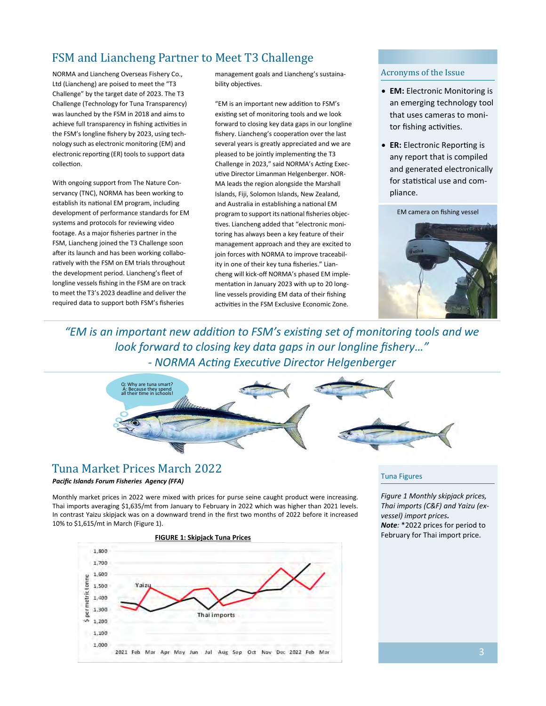### FSM and Liancheng Partner to Meet T3 Challenge

NORMA and Liancheng Overseas Fishery Co., Ltd (Liancheng) are poised to meet the "T3 Challenge" by the target date of 2023. The T3 Challenge (Technology for Tuna Transparency) was launched by the FSM in 2018 and aims to achieve full transparency in fishing activities in the FSM's longline fishery by 2023, using technology such as electronic monitoring (EM) and electronic reporting (ER) tools to support data collection.

With ongoing support from The Nature Conservancy (TNC), NORMA has been working to establish its national EM program, including development of performance standards for EM systems and protocols for reviewing video footage. As a major fisheries partner in the FSM, Liancheng joined the T3 Challenge soon after its launch and has been working collaboratively with the FSM on EM trials throughout the development period. Liancheng's fleet of longline vessels fishing in the FSM are on track to meet the T3's 2023 deadline and deliver the required data to support both FSM's fisheries

management goals and Liancheng's sustainability objectives.

"EM is an important new addition to FSM's existing set of monitoring tools and we look forward to closing key data gaps in our longline fishery. Liancheng's cooperation over the last several years is greatly appreciated and we are pleased to be jointly implementing the T3 Challenge in 2023," said NORMA's Acting Executive Director Limanman Helgenberger. NOR-MA leads the region alongside the Marshall Islands, Fiji, Solomon Islands, New Zealand, and Australia in establishing a national EM program to support its national fisheries objectives. Liancheng added that "electronic monitoring has always been a key feature of their management approach and they are excited to join forces with NORMA to improve traceability in one of their key tuna fisheries." Liancheng will kick-off NORMA's phased EM implementation in January 2023 with up to 20 longline vessels providing EM data of their fishing activities in the FSM Exclusive Economic Zone.

#### Acronyms of the Issue

- **EM:** Electronic Monitoring is an emerging technology tool that uses cameras to monitor fishing activities.
- **ER:** Electronic Reporting is any report that is compiled and generated electronically for statistical use and compliance.



*"EM is an important new addition to FSM's existing set of monitoring tools and we look forward to closing key data gaps in our longline fishery…" - NORMA Acting Executive Director Helgenberger*



### Tuna Market Prices March 2022

### *Pacific Islands Forum Fisheries Agency (FFA)*

Monthly market prices in 2022 were mixed with prices for purse seine caught product were increasing. Thai imports averaging \$1,635/mt from January to February in 2022 which was higher than 2021 levels. In contrast Yaizu skipjack was on a downward trend in the first two months of 2022 before it increased 10% to \$1,615/mt in March (Figure 1).



#### Tuna Figures

*Figure 1 Monthly skipjack prices, Thai imports (C&F) and Yaizu (exvessel) import prices. Note:* \*2022 prices for period to February for Thai import price.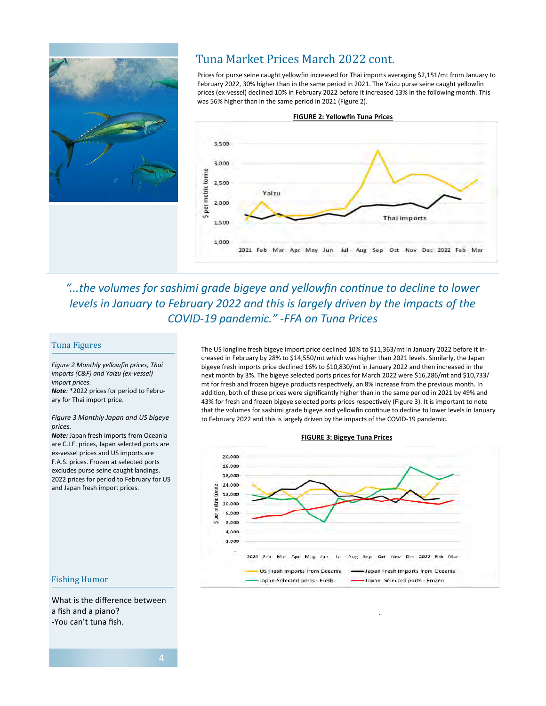

### Tuna Market Prices March 2022 cont.

Prices for purse seine caught yellowfin increased for Thai imports averaging \$2,151/mt from January to February 2022, 30% higher than in the same period in 2021. The Yaizu purse seine caught yellowfin prices (ex-vessel) declined 10% in February 2022 before it increased 13% in the following month. This was 56% higher than in the same period in 2021 (Figure 2).



*"...the volumes for sashimi grade bigeye and yellowfin continue to decline to lower levels in January to February 2022 and this is largely driven by the impacts of the COVID-19 pandemic." -FFA on Tuna Prices*

#### Tuna Figures

*Figure 2 Monthly yellowfin prices, Thai imports (C&F) and Yaizu (ex-vessel) import prices.*

*Note:* \*2022 prices for period to February for Thai import price.

#### *Figure 3 Monthly Japan and US bigeye prices.*

*Note:* Japan fresh imports from Oceania are C.I.F. prices, Japan selected ports are ex-vessel prices and US imports are F.A.S. prices. Frozen at selected ports excludes purse seine caught landings. 2022 prices for period to February for US and Japan fresh import prices.

The US longline fresh bigeye import price declined 10% to \$11,363/mt in January 2022 before it increased in February by 28% to \$14,550/mt which was higher than 2021 levels. Similarly, the Japan bigeye fresh imports price declined 16% to \$10,830/mt in January 2022 and then increased in the next month by 3%. The bigeye selected ports prices for March 2022 were \$16,286/mt and \$10,733/ mt for fresh and frozen bigeye products respectively, an 8% increase from the previous month. In addition, both of these prices were significantly higher than in the same period in 2021 by 49% and 43% for fresh and frozen bigeye selected ports prices respectively (Figure 3). It is important to note that the volumes for sashimi grade bigeye and yellowfin continue to decline to lower levels in January to February 2022 and this is largely driven by the impacts of the COVID-19 pandemic.



.

#### Fishing Humor

What is the difference between a fish and a piano? -You can't tuna fish.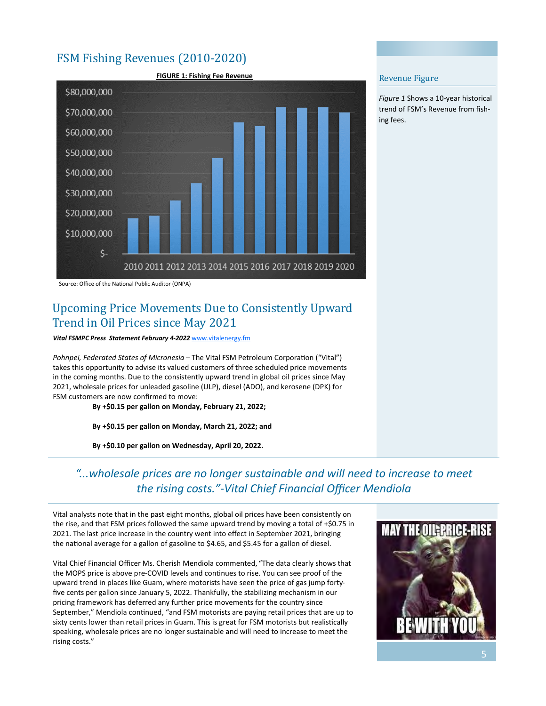## FSM Fishing Revenues (2010-2020)



Source: Office of the National Public Auditor (ONPA)

### Upcoming Price Movements Due to Consistently Upward Trend in Oil Prices since May 2021

*Vital FSMPC Press Statement February 4-2022* [www.vitalenergy.fm](http://www.vitalenergy.fm)

*Pohnpei, Federated States of Micronesia* – The Vital FSM Petroleum Corporation ("Vital") takes this opportunity to advise its valued customers of three scheduled price movements in the coming months. Due to the consistently upward trend in global oil prices since May 2021, wholesale prices for unleaded gasoline (ULP), diesel (ADO), and kerosene (DPK) for FSM customers are now confirmed to move:

**By +\$0.15 per gallon on Monday, February 21, 2022;**

**By +\$0.15 per gallon on Monday, March 21, 2022; and**

**By +\$0.10 per gallon on Wednesday, April 20, 2022.**

#### Revenue Figure

*Figure 1* Shows a 10-year historical trend of FSM's Revenue from fishing fees.

*"...wholesale prices are no longer sustainable and will need to increase to meet the rising costs."-Vital Chief Financial Officer Mendiola*

Vital analysts note that in the past eight months, global oil prices have been consistently on the rise, and that FSM prices followed the same upward trend by moving a total of +\$0.75 in 2021. The last price increase in the country went into effect in September 2021, bringing the national average for a gallon of gasoline to \$4.65, and \$5.45 for a gallon of diesel.

Vital Chief Financial Officer Ms. Cherish Mendiola commented, "The data clearly shows that the MOPS price is above pre-COVID levels and continues to rise. You can see proof of the upward trend in places like Guam, where motorists have seen the price of gas jump fortyfive cents per gallon since January 5, 2022. Thankfully, the stabilizing mechanism in our pricing framework has deferred any further price movements for the country since September," Mendiola continued, "and FSM motorists are paying retail prices that are up to sixty cents lower than retail prices in Guam. This is great for FSM motorists but realistically speaking, wholesale prices are no longer sustainable and will need to increase to meet the rising costs."

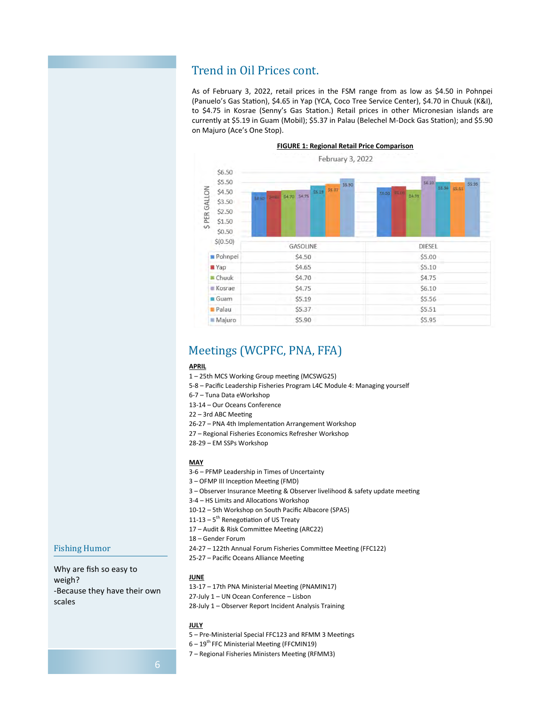### Trend in Oil Prices cont.

As of February 3, 2022, retail prices in the FSM range from as low as \$4.50 in Pohnpei (Panuelo's Gas Station), \$4.65 in Yap (YCA, Coco Tree Service Center), \$4.70 in Chuuk (K&I), to \$4.75 in Kosrae (Senny's Gas Station.) Retail prices in other Micronesian islands are currently at \$5.19 in Guam (Mobil); \$5.37 in Palau (Belechel M-Dock Gas Station); and \$5.90 on Majuro (Ace's One Stop).



#### **FIGURE 1: Regional Retail Price Comparison**

### Meetings (WCPFC, PNA, FFA)

#### **APRIL**

- 1 25th MCS Working Group meeting (MCSWG25)
- 5-8 Pacific Leadership Fisheries Program L4C Module 4: Managing yourself
- 6-7 Tuna Data eWorkshop
- 13-14 Our Oceans Conference
- 22 3rd ABC Meeting
- 26-27 PNA 4th Implementation Arrangement Workshop
- 27 Regional Fisheries Economics Refresher Workshop
- 28-29 EM SSPs Workshop

#### **MAY**

3-6 – PFMP Leadership in Times of Uncertainty

3 – OFMP III Inception Meeting (FMD)

3 – Observer Insurance Meeting & Observer livelihood & safety update meeting

3-4 – HS Limits and Allocations Workshop

10-12 – 5th Workshop on South Pacific Albacore (SPA5)

- 11-13 5<sup>th</sup> Renegotiation of US Treaty
- 17 Audit & Risk Committee Meeting (ARC22)
- 18 Gender Forum

24-27 – 122th Annual Forum Fisheries Committee Meeting (FFC122)

25-27 – Pacific Oceans Alliance Meeting

#### **JUNE**

13-17 – 17th PNA Ministerial Meeting (PNAMIN17) 27-July 1 – UN Ocean Conference – Lisbon 28-July 1 – Observer Report Incident Analysis Training

#### **JULY**

5 – Pre-Ministerial Special FFC123 and RFMM 3 Meetings

- $6 19$ <sup>th</sup> FFC Ministerial Meeting (FFCMIN19)
- 7 Regional Fisheries Ministers Meeting (RFMM3)

Why are fish so easy to weigh? -Because they have their own scales